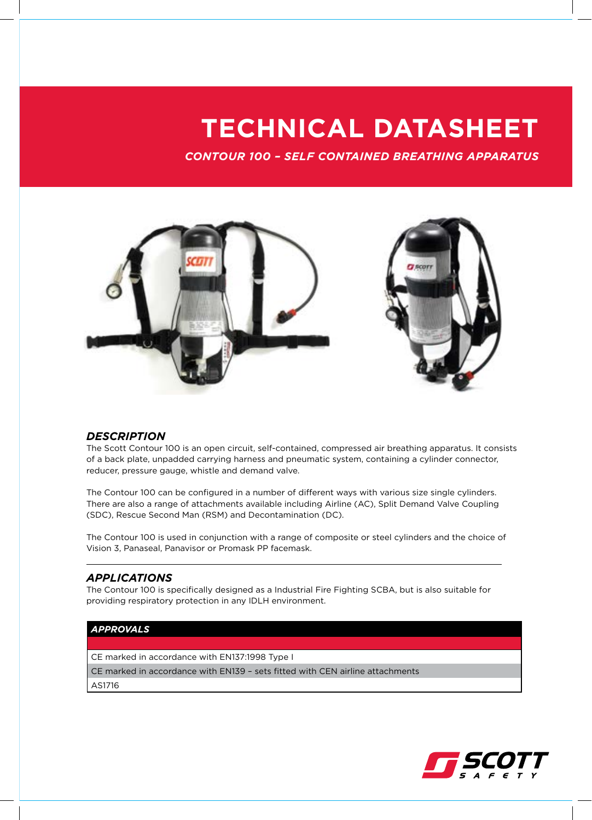## **TECHNICAL DATASHEET**

*CONTOUR 100 – SELF CONTAINED BREATHING APPARATUS*



### *DESCRIPTION*

The Scott Contour 100 is an open circuit, self-contained, compressed air breathing apparatus. It consists of a back plate, unpadded carrying harness and pneumatic system, containing a cylinder connector, reducer, pressure gauge, whistle and demand valve.

The Contour 100 can be configured in a number of different ways with various size single cylinders. There are also a range of attachments available including Airline (AC), Split Demand Valve Coupling (SDC), Rescue Second Man (RSM) and Decontamination (DC).

The Contour 100 is used in conjunction with a range of composite or steel cylinders and the choice of Vision 3, Panaseal, Panavisor or Promask PP facemask.

### *APPLICATIONS*

The Contour 100 is specifically designed as a Industrial Fire Fighting SCBA, but is also suitable for providing respiratory protection in any IDLH environment.

#### *APPROVALS*

CE marked in accordance with EN137:1998 Type I

CE marked in accordance with EN139 – sets fitted with CEN airline attachments

AS1716

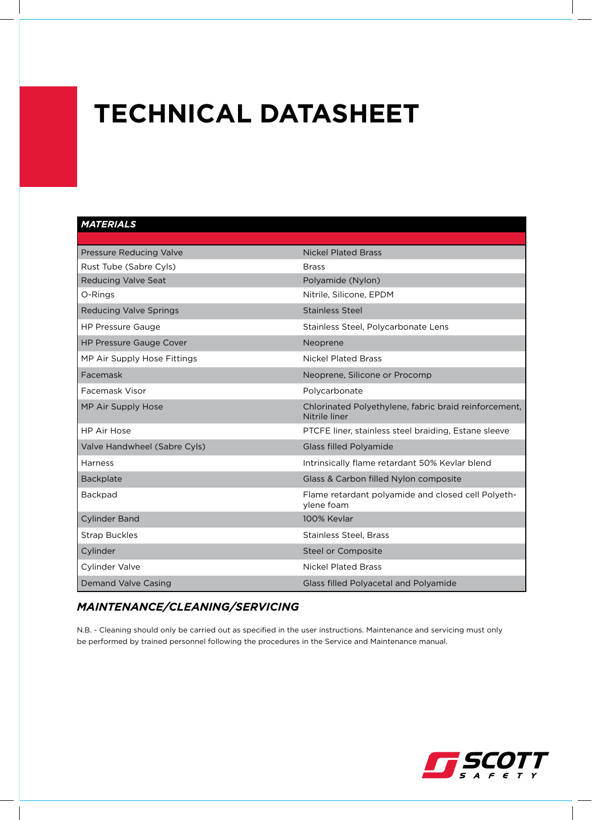# **TECHNICAL DATASHEET**

### *MATERIALS*

| <b>Pressure Reducing Valve</b> | <b>Nickel Plated Brass</b>                                             |
|--------------------------------|------------------------------------------------------------------------|
| Rust Tube (Sabre Cyls)         | <b>Brass</b>                                                           |
| <b>Reducing Valve Seat</b>     | Polyamide (Nylon)                                                      |
| O-Rings                        | Nitrile, Silicone, EPDM                                                |
| <b>Reducing Valve Springs</b>  | <b>Stainless Steel</b>                                                 |
| <b>HP Pressure Gauge</b>       | Stainless Steel, Polycarbonate Lens                                    |
| <b>HP Pressure Gauge Cover</b> | Neoprene                                                               |
| MP Air Supply Hose Fittings    | <b>Nickel Plated Brass</b>                                             |
| Facemask                       | Neoprene, Silicone or Procomp                                          |
| Facemask Visor                 | Polycarbonate                                                          |
| MP Air Supply Hose             | Chlorinated Polyethylene, fabric braid reinforcement,<br>Nitrile liner |
| <b>HP Air Hose</b>             | PTCFE liner, stainless steel braiding, Estane sleeve                   |
| Valve Handwheel (Sabre Cyls)   | <b>Glass filled Polyamide</b>                                          |
| Harness                        | Intrinsically flame retardant 50% Kevlar blend                         |
| Backplate                      | Glass & Carbon filled Nylon composite                                  |
| <b>Backpad</b>                 | Flame retardant polyamide and closed cell Polyeth-<br>ylene foam       |
| <b>Cylinder Band</b>           | 100% Kevlar                                                            |
| <b>Strap Buckles</b>           | <b>Stainless Steel, Brass</b>                                          |
| Cylinder                       | Steel or Composite                                                     |
| Cylinder Valve                 | <b>Nickel Plated Brass</b>                                             |
| <b>Demand Valve Casing</b>     | Glass filled Polyacetal and Polyamide                                  |

### *MAINTENANCE/CLEANING/SERVICING*

N.B. - Cleaning should only be carried out as specified in the user instructions. Maintenance and servicing must only be performed by trained personnel following the procedures in the Service and Maintenance manual.